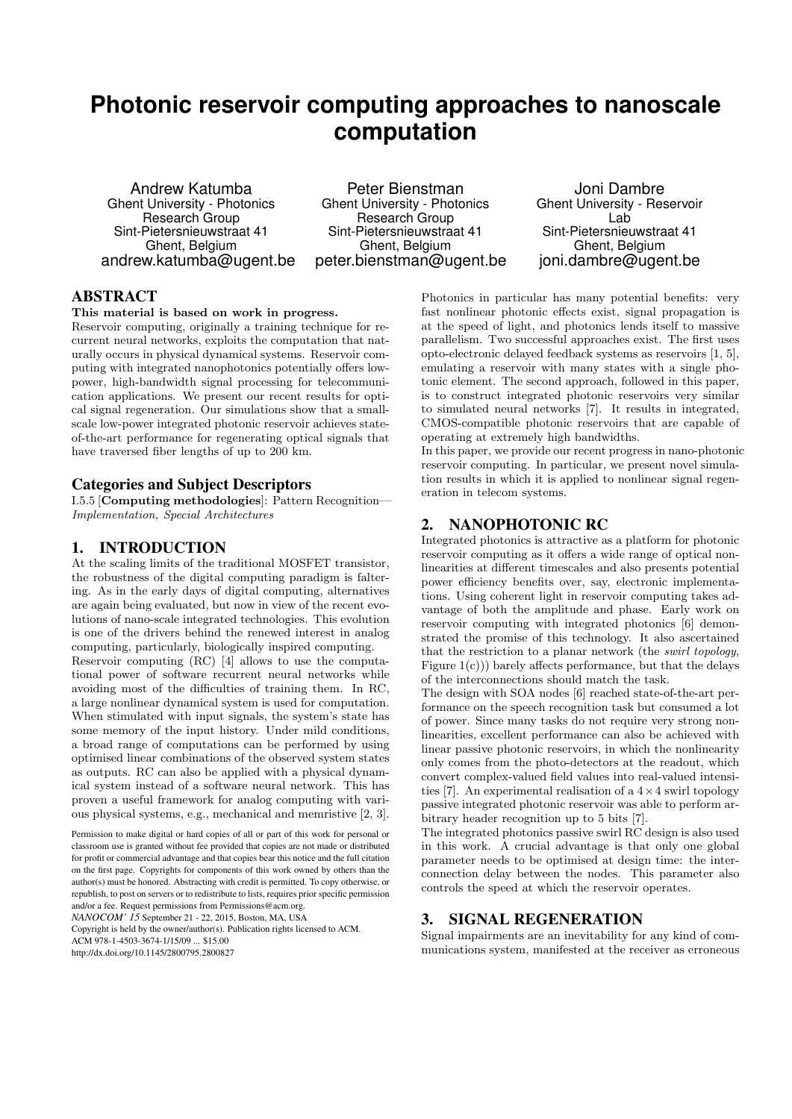# **Photonic reservoir computing approaches to nanoscale computation**

Andrew Katumba Ghent University - Photonics Research Group Sint-Pietersnieuwstraat 41 Ghent, Belgium andrew.katumba@ugent.be

Peter Bienstman Ghent University - Photonics Research Group Sint-Pietersnieuwstraat 41 Ghent, Belgium peter.bienstman@ugent.be

Joni Dambre Ghent University - Reservoir Lab Sint-Pietersnieuwstraat 41 Ghent, Belgium joni.dambre@ugent.be

# ABSTRACT

This material is based on work in progress.

Reservoir computing, originally a training technique for recurrent neural networks, exploits the computation that naturally occurs in physical dynamical systems. Reservoir computing with integrated nanophotonics potentially offers lowpower, high-bandwidth signal processing for telecommunication applications. We present our recent results for optical signal regeneration. Our simulations show that a smallscale low-power integrated photonic reservoir achieves stateof-the-art performance for regenerating optical signals that have traversed fiber lengths of up to 200 km.

## Categories and Subject Descriptors

I.5.5 [Computing methodologies]: Pattern Recognition— Implementation, Special Architectures

# 1. INTRODUCTION

At the scaling limits of the traditional MOSFET transistor, the robustness of the digital computing paradigm is faltering. As in the early days of digital computing, alternatives are again being evaluated, but now in view of the recent evolutions of nano-scale integrated technologies. This evolution is one of the drivers behind the renewed interest in analog computing, particularly, biologically inspired computing.

Reservoir computing (RC) [4] allows to use the computational power of software recurrent neural networks while avoiding most of the difficulties of training them. In RC, a large nonlinear dynamical system is used for computation. When stimulated with input signals, the system's state has some memory of the input history. Under mild conditions, a broad range of computations can be performed by using optimised linear combinations of the observed system states as outputs. RC can also be applied with a physical dynamical system instead of a software neural network. This has proven a useful framework for analog computing with various physical systems, e.g., mechanical and memristive [2, 3].

Permission to make digital or hard copies of all or part of this work for personal or classroom use is granted without fee provided that copies are not made or distributed for profit or commercial advantage and that copies bear this notice and the full citation on the first page. Copyrights for components of this work owned by others than the author(s) must be honored. Abstracting with credit is permitted. To copy otherwise, or republish, to post on servers or to redistribute to lists, requires prior specific permission and/or a fee. Request permissions from Permissions@acm.org.

*NANOCOM' 15* September 21 - 22, 2015, Boston, MA, USA

Copyright is held by the owner/author(s). Publication rights licensed to ACM. ACM 978-1-4503-3674-1/15/09 \$15.00

http://dx.doi.org/10.1145/2800795.2800827

Photonics in particular has many potential benefits: very fast nonlinear photonic effects exist, signal propagation is at the speed of light, and photonics lends itself to massive parallelism. Two successful approaches exist. The first uses opto-electronic delayed feedback systems as reservoirs [1, 5], emulating a reservoir with many states with a single photonic element. The second approach, followed in this paper, is to construct integrated photonic reservoirs very similar to simulated neural networks [7]. It results in integrated, CMOS-compatible photonic reservoirs that are capable of operating at extremely high bandwidths.

In this paper, we provide our recent progress in nano-photonic reservoir computing. In particular, we present novel simulation results in which it is applied to nonlinear signal regeneration in telecom systems.

# 2. NANOPHOTONIC RC

Integrated photonics is attractive as a platform for photonic reservoir computing as it offers a wide range of optical nonlinearities at different timescales and also presents potential power efficiency benefits over, say, electronic implementations. Using coherent light in reservoir computing takes advantage of both the amplitude and phase. Early work on reservoir computing with integrated photonics [6] demonstrated the promise of this technology. It also ascertained that the restriction to a planar network (the swirl topology, Figure  $1(c)$ )) barely affects performance, but that the delays of the interconnections should match the task.

The design with SOA nodes [6] reached state-of-the-art performance on the speech recognition task but consumed a lot of power. Since many tasks do not require very strong nonlinearities, excellent performance can also be achieved with linear passive photonic reservoirs, in which the nonlinearity only comes from the photo-detectors at the readout, which convert complex-valued field values into real-valued intensities [7]. An experimental realisation of a  $4 \times 4$  swirl topology passive integrated photonic reservoir was able to perform arbitrary header recognition up to 5 bits [7].

The integrated photonics passive swirl RC design is also used in this work. A crucial advantage is that only one global parameter needs to be optimised at design time: the interconnection delay between the nodes. This parameter also controls the speed at which the reservoir operates.

## 3. SIGNAL REGENERATION

Signal impairments are an inevitability for any kind of communications system, manifested at the receiver as erroneous